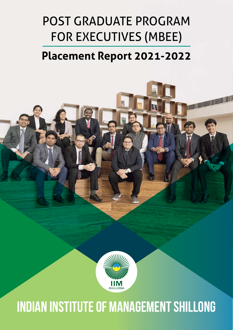# Post Graduate Program for Executives (MBEE)

## **Placement Report 2021-2022**

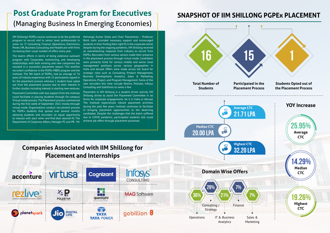## **Post Graduate Program for Executives**  (Managing Business In Emerging Economies)

### **Companies Associated with IIM Shillong for Placement and Internships**



IIM Shillong's PGPEx course continues to be the preferred Hemango Kumar Dutta and Chair Placements – Professor program to recruit mid to senior level professionals in increasing their usual number of offers every year.

The team's efforts in terms of doing extensive outreach program with Corporates, maintaining, and developing relationships with both existing and new companies has resulted in a successful placement season. This testifies recruiters' confidence in the PGPEx MBEE program and the institute. The 9th batch of PGPEx, had an average of 7.6 years of industry experience with 15 participants signed in for the placement process whereas 1 student have opted out from the placement process due to their interest in further studies including interest in starting new ventures.

Placement Committee with due support from the institute could facilitate in placing students through On-campus/ Virtual mode process. The Placement process commenced during the first week of September 2021 mostly through virtual mode. Organizations conduct recruitment process for PGPEx students that spread over several months allowing students and recruiters an equal opportunity to interact with each other and find their desired fit. The Department of Corporate Affairs, Manager PC and PR - Mr.

areas viz. IT Consulting, Finance, Operations, Electronics, students in their finding their right fit in the corporate world. Power, HR, Business Consulting and Healthcare with firms Despite during the ongoing pandemic, IIM Shillong received Rohit Joshi provided necessary support and encouraged an overwhelming response from industry to recruit from PGPEx. Recruiters from various sectors made their presence in the placement process through virtual mode. Candidates were primarily hired for various middle and senior level management positions across various geographies in India and abroad. Offers were made across the board for strategic roles such as Consulting, Product Management, Business Development, Analytics, Sales & Marketing, Operations, Project, and Program Management. Some of the new recruiters this time include Rezlive, Polestar, Infosys Consulting and Gobillions to name a few.

> Placement in IIM Shillong is a student driven activity. IIM Shillong strives to assist the Placement Committee in all forms for corporate engagements- be it in India or Abroad. The Institute experienced vibrant placement activities during the past few years. Institute continues to facilitate in bringing placement opportunities to the deserving candidates. Despite the challenges that the batch suffered due to COVID pandemic, participated students still could achieve job offers through placement processes.

## **Snapshot of IIM Shillong PGPEx Placement**